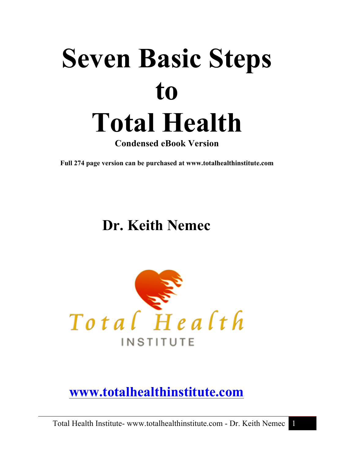

**Condensed eBook Version**

**Full 274 page version can be purchased at www.totalhealthinstitute.com**

## **Dr. Keith Nemec**



## **www.totalhealthinstitute.com**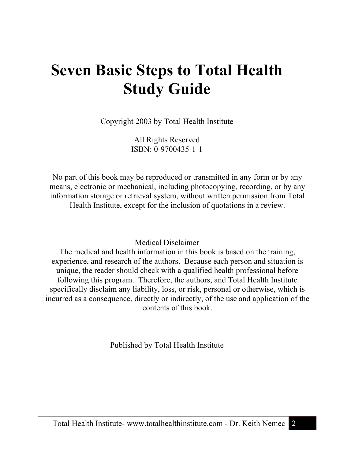## **Seven Basic Steps to Total Health Study Guide**

Copyright 2003 by Total Health Institute

All Rights Reserved ISBN: 0-9700435-1-1

No part of this book may be reproduced or transmitted in any form or by any means, electronic or mechanical, including photocopying, recording, or by any information storage or retrieval system, without written permission from Total Health Institute, except for the inclusion of quotations in a review.

#### Medical Disclaimer

The medical and health information in this book is based on the training, experience, and research of the authors. Because each person and situation is unique, the reader should check with a qualified health professional before following this program. Therefore, the authors, and Total Health Institute specifically disclaim any liability, loss, or risk, personal or otherwise, which is incurred as a consequence, directly or indirectly, of the use and application of the contents of this book.

Published by Total Health Institute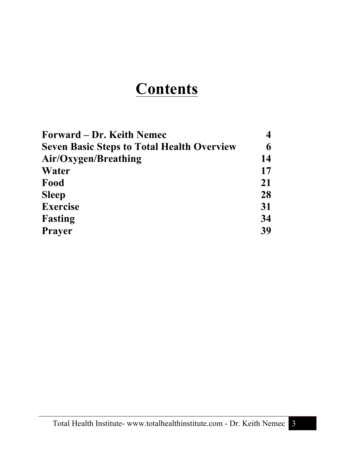## **Contents**

| <b>Forward – Dr. Keith Nemec</b>                  |    |
|---------------------------------------------------|----|
| <b>Seven Basic Steps to Total Health Overview</b> | 6  |
| Air/Oxygen/Breathing                              | 14 |
| Water                                             | 17 |
| Food                                              | 21 |
| <b>Sleep</b>                                      | 28 |
| <b>Exercise</b>                                   | 31 |
| Fasting                                           | 34 |
| <b>Prayer</b>                                     | 39 |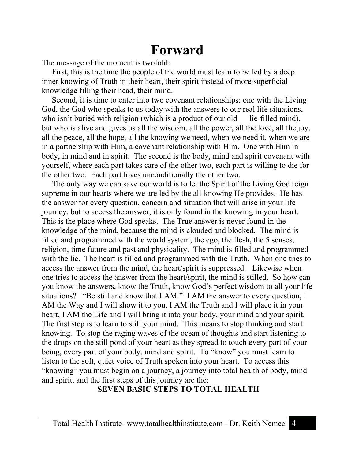## **Forward**

The message of the moment is twofold:

 First, this is the time the people of the world must learn to be led by a deep inner knowing of Truth in their heart, their spirit instead of more superficial knowledge filling their head, their mind.

 Second, it is time to enter into two covenant relationships: one with the Living God, the God who speaks to us today with the answers to our real life situations, who isn't buried with religion (which is a product of our old lie-filled mind), but who is alive and gives us all the wisdom, all the power, all the love, all the joy, all the peace, all the hope, all the knowing we need, when we need it, when we are in a partnership with Him, a covenant relationship with Him. One with Him in body, in mind and in spirit. The second is the body, mind and spirit covenant with yourself, where each part takes care of the other two, each part is willing to die for the other two. Each part loves unconditionally the other two.

 The only way we can save our world is to let the Spirit of the Living God reign supreme in our hearts where we are led by the all-knowing He provides. He has the answer for every question, concern and situation that will arise in your life journey, but to access the answer, it is only found in the knowing in your heart. This is the place where God speaks. The True answer is never found in the knowledge of the mind, because the mind is clouded and blocked. The mind is filled and programmed with the world system, the ego, the flesh, the 5 senses, religion, time future and past and physicality. The mind is filled and programmed with the lie. The heart is filled and programmed with the Truth. When one tries to access the answer from the mind, the heart/spirit is suppressed. Likewise when one tries to access the answer from the heart/spirit, the mind is stilled. So how can you know the answers, know the Truth, know God's perfect wisdom to all your life situations? "Be still and know that I AM." I AM the answer to every question, I AM the Way and I will show it to you, I AM the Truth and I will place it in your heart, I AM the Life and I will bring it into your body, your mind and your spirit. The first step is to learn to still your mind. This means to stop thinking and start knowing. To stop the raging waves of the ocean of thoughts and start listening to the drops on the still pond of your heart as they spread to touch every part of your being, every part of your body, mind and spirit. To "know" you must learn to listen to the soft, quiet voice of Truth spoken into your heart. To access this "knowing" you must begin on a journey, a journey into total health of body, mind and spirit, and the first steps of this journey are the:

#### **SEVEN BASIC STEPS TO TOTAL HEALTH**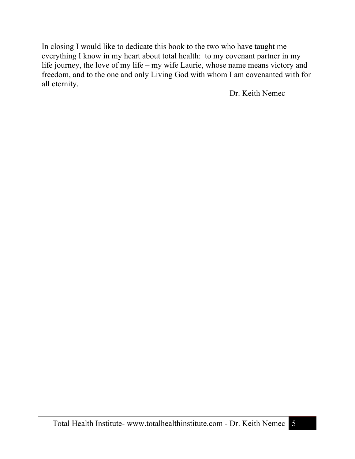In closing I would like to dedicate this book to the two who have taught me everything I know in my heart about total health: to my covenant partner in my life journey, the love of my life – my wife Laurie, whose name means victory and freedom, and to the one and only Living God with whom I am covenanted with for all eternity.

Dr. Keith Nemec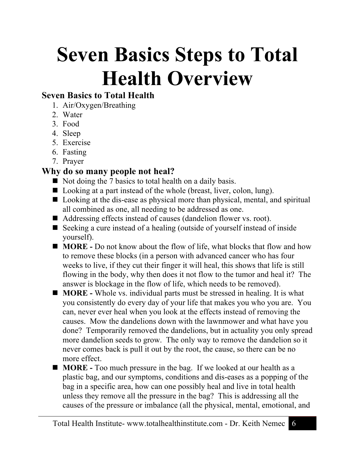# **Seven Basics Steps to Total Health Overview**

## **Seven Basics to Total Health**

- 1. Air/Oxygen/Breathing
- 2. Water
- 3. Food
- 4. Sleep
- 5. Exercise
- 6. Fasting
- 7. Prayer

#### **Why do so many people not heal?**

- $\blacksquare$  Not doing the 7 basics to total health on a daily basis.
- $\blacksquare$  Looking at a part instead of the whole (breast, liver, colon, lung).
- Looking at the dis-ease as physical more than physical, mental, and spiritual all combined as one, all needing to be addressed as one.
- Addressing effects instead of causes (dandelion flower vs. root).
- Seeking a cure instead of a healing (outside of yourself instead of inside yourself).
- **n MORE** Do not know about the flow of life, what blocks that flow and how to remove these blocks (in a person with advanced cancer who has four weeks to live, if they cut their finger it will heal, this shows that life is still flowing in the body, why then does it not flow to the tumor and heal it? The answer is blockage in the flow of life, which needs to be removed).
- **n MORE** Whole vs. individual parts must be stressed in healing. It is what you consistently do every day of your life that makes you who you are. You can, never ever heal when you look at the effects instead of removing the causes. Mow the dandelions down with the lawnmower and what have you done? Temporarily removed the dandelions, but in actuality you only spread more dandelion seeds to grow. The only way to remove the dandelion so it never comes back is pull it out by the root, the cause, so there can be no more effect.
- **n MORE** Too much pressure in the bag. If we looked at our health as a plastic bag, and our symptoms, conditions and dis-eases as a popping of the bag in a specific area, how can one possibly heal and live in total health unless they remove all the pressure in the bag? This is addressing all the causes of the pressure or imbalance (all the physical, mental, emotional, and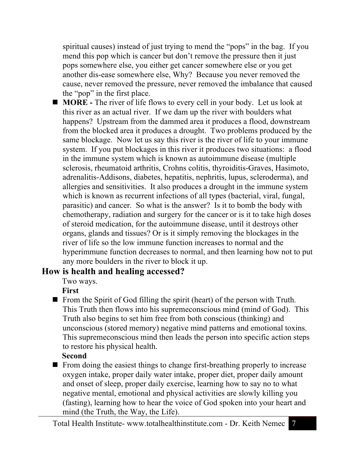spiritual causes) instead of just trying to mend the "pops" in the bag. If you mend this pop which is cancer but don't remove the pressure then it just pops somewhere else, you either get cancer somewhere else or you get another dis-ease somewhere else, Why? Because you never removed the cause, never removed the pressure, never removed the imbalance that caused the "pop" in the first place.

**n MORE** - The river of life flows to every cell in your body. Let us look at this river as an actual river. If we dam up the river with boulders what happens? Upstream from the dammed area it produces a flood, downstream from the blocked area it produces a drought. Two problems produced by the same blockage. Now let us say this river is the river of life to your immune system. If you put blockages in this river it produces two situations: a flood in the immune system which is known as autoimmune disease (multiple sclerosis, rheumatoid arthritis, Crohns colitis, thyroiditis-Graves, Hasimoto, adrenalitis-Addisons, diabetes, hepatitis, nephritis, lupus, scleroderma), and allergies and sensitivities. It also produces a drought in the immune system which is known as recurrent infections of all types (bacterial, viral, fungal, parasitic) and cancer. So what is the answer? Is it to bomb the body with chemotherapy, radiation and surgery for the cancer or is it to take high doses of steroid medication, for the autoimmune disease, until it destroys other organs, glands and tissues? Or is it simply removing the blockages in the river of life so the low immune function increases to normal and the hyperimmune function decreases to normal, and then learning how not to put any more boulders in the river to block it up.

#### **How is health and healing accessed?**

Two ways.

 **First**

- From the Spirit of God filling the spirit (heart) of the person with Truth. This Truth then flows into his supremeconscious mind (mind of God). This Truth also begins to set him free from both conscious (thinking) and unconscious (stored memory) negative mind patterns and emotional toxins. This supremeconscious mind then leads the person into specific action steps to restore his physical health.
	- **Second**
- $\blacksquare$  From doing the easiest things to change first-breathing properly to increase oxygen intake, proper daily water intake, proper diet, proper daily amount and onset of sleep, proper daily exercise, learning how to say no to what negative mental, emotional and physical activities are slowly killing you (fasting), learning how to hear the voice of God spoken into your heart and mind (the Truth, the Way, the Life).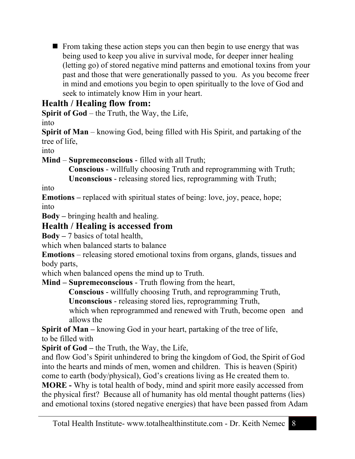$\blacksquare$  From taking these action steps you can then begin to use energy that was being used to keep you alive in survival mode, for deeper inner healing (letting go) of stored negative mind patterns and emotional toxins from your past and those that were generationally passed to you. As you become freer in mind and emotions you begin to open spiritually to the love of God and seek to intimately know Him in your heart.

## **Health / Healing flow from:**

**Spirit of God** – the Truth, the Way, the Life,

into

**Spirit of Man** – knowing God, being filled with His Spirit, and partaking of the tree of life,

into

**Mind** – **Supremeconscious** - filled with all Truth;

 **Conscious** - willfully choosing Truth and reprogramming with Truth; **Unconscious** - releasing stored lies, reprogramming with Truth;

into

**Emotions –** replaced with spiritual states of being: love, joy, peace, hope; into

**Body –** bringing health and healing.

#### **Health / Healing is accessed from**

**Body –** 7 basics of total health,

which when balanced starts to balance

**Emotions** – releasing stored emotional toxins from organs, glands, tissues and body parts,

which when balanced opens the mind up to Truth.

**Mind – Supremeconscious** - Truth flowing from the heart,

 **Conscious** - willfully choosing Truth, and reprogramming Truth,

**Unconscious** - releasing stored lies, reprogramming Truth,

which when reprogrammed and renewed with Truth, become open and allows the

**Spirit of Man –** knowing God in your heart, partaking of the tree of life, to be filled with

**Spirit of God –** the Truth, the Way, the Life,

and flow God's Spirit unhindered to bring the kingdom of God, the Spirit of God into the hearts and minds of men, women and children. This is heaven (Spirit) come to earth (body/physical), God's creations living as He created them to. **MORE -** Why is total health of body, mind and spirit more easily accessed from the physical first? Because all of humanity has old mental thought patterns (lies) and emotional toxins (stored negative energies) that have been passed from Adam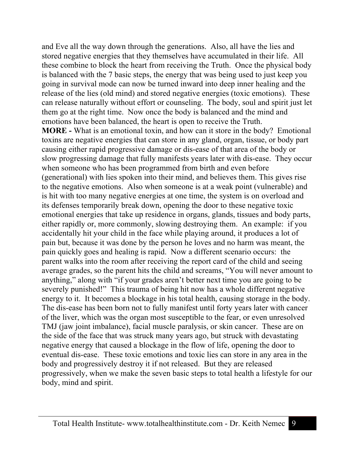and Eve all the way down through the generations. Also, all have the lies and stored negative energies that they themselves have accumulated in their life. All these combine to block the heart from receiving the Truth. Once the physical body is balanced with the 7 basic steps, the energy that was being used to just keep you going in survival mode can now be turned inward into deep inner healing and the release of the lies (old mind) and stored negative energies (toxic emotions). These can release naturally without effort or counseling. The body, soul and spirit just let them go at the right time. Now once the body is balanced and the mind and emotions have been balanced, the heart is open to receive the Truth.

**MORE -** What is an emotional toxin, and how can it store in the body? Emotional toxins are negative energies that can store in any gland, organ, tissue, or body part causing either rapid progressive damage or dis-ease of that area of the body or slow progressing damage that fully manifests years later with dis-ease. They occur when someone who has been programmed from birth and even before (generational) with lies spoken into their mind, and believes them. This gives rise to the negative emotions. Also when someone is at a weak point (vulnerable) and is hit with too many negative energies at one time, the system is on overload and its defenses temporarily break down, opening the door to these negative toxic emotional energies that take up residence in organs, glands, tissues and body parts, either rapidly or, more commonly, slowing destroying them. An example: if you accidentally hit your child in the face while playing around, it produces a lot of pain but, because it was done by the person he loves and no harm was meant, the pain quickly goes and healing is rapid. Now a different scenario occurs: the parent walks into the room after receiving the report card of the child and seeing average grades, so the parent hits the child and screams, "You will never amount to anything," along with "if your grades aren't better next time you are going to be severely punished!" This trauma of being hit now has a whole different negative energy to it. It becomes a blockage in his total health, causing storage in the body. The dis-ease has been born not to fully manifest until forty years later with cancer of the liver, which was the organ most susceptible to the fear, or even unresolved TMJ (jaw joint imbalance), facial muscle paralysis, or skin cancer. These are on the side of the face that was struck many years ago, but struck with devastating negative energy that caused a blockage in the flow of life, opening the door to eventual dis-ease. These toxic emotions and toxic lies can store in any area in the body and progressively destroy it if not released. But they are released progressively, when we make the seven basic steps to total health a lifestyle for our body, mind and spirit.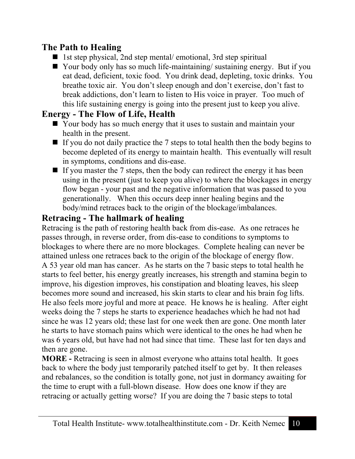## **The Path to Healing**

- $\blacksquare$  1st step physical, 2nd step mental/ emotional, 3rd step spiritual
- $\blacksquare$  Your body only has so much life-maintaining/ sustaining energy. But if you eat dead, deficient, toxic food. You drink dead, depleting, toxic drinks. You breathe toxic air. You don't sleep enough and don't exercise, don't fast to break addictions, don't learn to listen to His voice in prayer. Too much of this life sustaining energy is going into the present just to keep you alive.

## **Energy - The Flow of Life, Health**

- $\blacksquare$  Your body has so much energy that it uses to sustain and maintain your health in the present.
- $\blacksquare$  If you do not daily practice the 7 steps to total health then the body begins to become depleted of its energy to maintain health. This eventually will result in symptoms, conditions and dis-ease.
- $\blacksquare$  If you master the 7 steps, then the body can redirect the energy it has been using in the present (just to keep you alive) to where the blockages in energy flow began - your past and the negative information that was passed to you generationally. When this occurs deep inner healing begins and the body/mind retraces back to the origin of the blockage/imbalances.

## **Retracing - The hallmark of healing**

Retracing is the path of restoring health back from dis-ease. As one retraces he passes through, in reverse order, from dis-ease to conditions to symptoms to blockages to where there are no more blockages. Complete healing can never be attained unless one retraces back to the origin of the blockage of energy flow. A 53 year old man has cancer. As he starts on the 7 basic steps to total health he starts to feel better, his energy greatly increases, his strength and stamina begin to improve, his digestion improves, his constipation and bloating leaves, his sleep becomes more sound and increased, his skin starts to clear and his brain fog lifts. He also feels more joyful and more at peace. He knows he is healing. After eight weeks doing the 7 steps he starts to experience headaches which he had not had since he was 12 years old; these last for one week then are gone. One month later he starts to have stomach pains which were identical to the ones he had when he was 6 years old, but have had not had since that time. These last for ten days and then are gone.

**MORE -** Retracing is seen in almost everyone who attains total health. It goes back to where the body just temporarily patched itself to get by. It then releases and rebalances, so the condition is totally gone, not just in dormancy awaiting for the time to erupt with a full-blown disease. How does one know if they are retracing or actually getting worse? If you are doing the 7 basic steps to total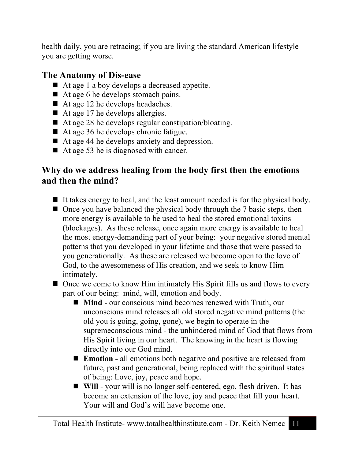health daily, you are retracing; if you are living the standard American lifestyle you are getting worse.

#### **The Anatomy of Dis-ease**

- $\blacksquare$  At age 1 a boy develops a decreased appetite.
- $\blacksquare$  At age 6 he develops stomach pains.
- $\blacksquare$  At age 12 he develops headaches.
- $\blacksquare$  At age 17 he develops allergies.
- $\blacksquare$  At age 28 he develops regular constipation/bloating.
- $\blacksquare$  At age 36 he develops chronic fatigue.
- $\blacksquare$  At age 44 he develops anxiety and depression.
- $\blacksquare$  At age 53 he is diagnosed with cancer.

#### **Why do we address healing from the body first then the emotions and then the mind?**

- $\blacksquare$  It takes energy to heal, and the least amount needed is for the physical body.
- $\blacksquare$  Once you have balanced the physical body through the 7 basic steps, then more energy is available to be used to heal the stored emotional toxins (blockages). As these release, once again more energy is available to heal the most energy-demanding part of your being: your negative stored mental patterns that you developed in your lifetime and those that were passed to you generationally. As these are released we become open to the love of God, to the awesomeness of His creation, and we seek to know Him intimately.

#### $\blacksquare$  Once we come to know Him intimately His Spirit fills us and flows to every part of our being: mind, will, emotion and body.

- **Mind** our conscious mind becomes renewed with Truth, our unconscious mind releases all old stored negative mind patterns (the old you is going, going, gone), we begin to operate in the supremeconscious mind - the unhindered mind of God that flows from His Spirit living in our heart. The knowing in the heart is flowing directly into our God mind.
- **Emotion** all emotions both negative and positive are released from future, past and generational, being replaced with the spiritual states of being: Love, joy, peace and hope.
- Will your will is no longer self-centered, ego, flesh driven. It has become an extension of the love, joy and peace that fill your heart. Your will and God's will have become one.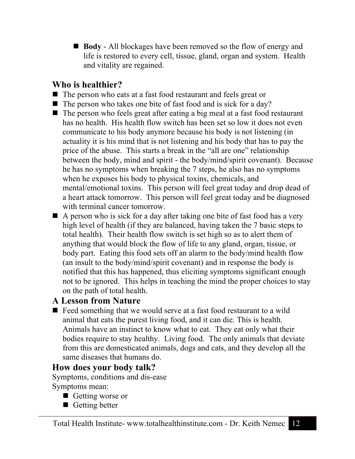■ **Body** - All blockages have been removed so the flow of energy and life is restored to every cell, tissue, gland, organ and system. Health and vitality are regained.

#### **Who is healthier?**

- $\blacksquare$  The person who eats at a fast food restaurant and feels great or
- $\blacksquare$  The person who takes one bite of fast food and is sick for a day?
- $\blacksquare$  The person who feels great after eating a big meal at a fast food restaurant has no health. His health flow switch has been set so low it does not even communicate to his body anymore because his body is not listening (in actuality it is his mind that is not listening and his body that has to pay the price of the abuse. This starts a break in the "all are one" relationship between the body, mind and spirit - the body/mind/spirit covenant). Because he has no symptoms when breaking the 7 steps, he also has no symptoms when he exposes his body to physical toxins, chemicals, and mental/emotional toxins. This person will feel great today and drop dead of a heart attack tomorrow. This person will feel great today and be diagnosed with terminal cancer tomorrow.
- $\blacksquare$  A person who is sick for a day after taking one bite of fast food has a very high level of health (if they are balanced, having taken the 7 basic steps to total health). Their health flow switch is set high so as to alert them of anything that would block the flow of life to any gland, organ, tissue, or body part. Eating this food sets off an alarm to the body/mind health flow (an insult to the body/mind/spirit covenant) and in response the body is notified that this has happened, thus eliciting symptoms significant enough not to be ignored. This helps in teaching the mind the proper choices to stay on the path of total health.

## **A Lesson from Nature**

 $\blacksquare$  Feed something that we would serve at a fast food restaurant to a wild animal that eats the purest living food, and it can die. This is health. Animals have an instinct to know what to eat. They eat only what their bodies require to stay healthy. Living food. The only animals that deviate from this are domesticated animals, dogs and cats, and they develop all the same diseases that humans do.

## **How does your body talk?**

Symptoms, conditions and dis-ease Symptoms mean:

- Getting worse or
- $\blacksquare$  Getting better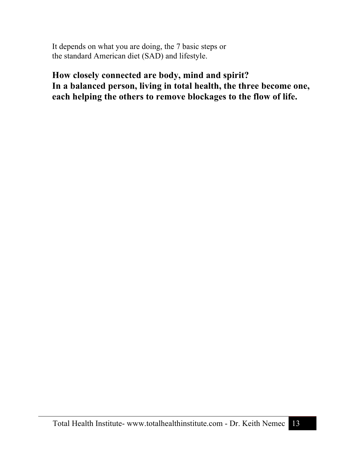It depends on what you are doing, the 7 basic steps or the standard American diet (SAD) and lifestyle.

#### **How closely connected are body, mind and spirit? In a balanced person, living in total health, the three become one, each helping the others to remove blockages to the flow of life.**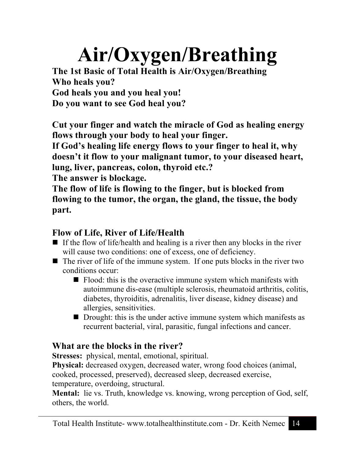# **Air/Oxygen/Breathing**

**The 1st Basic of Total Health is Air/Oxygen/Breathing Who heals you? God heals you and you heal you! Do you want to see God heal you?**

**Cut your finger and watch the miracle of God as healing energy flows through your body to heal your finger.** 

**If God's healing life energy flows to your finger to heal it, why doesn't it flow to your malignant tumor, to your diseased heart, lung, liver, pancreas, colon, thyroid etc.?** 

**The answer is blockage.**

**The flow of life is flowing to the finger, but is blocked from flowing to the tumor, the organ, the gland, the tissue, the body part.**

#### **Flow of Life, River of Life/Health**

- $\blacksquare$  If the flow of life/health and healing is a river then any blocks in the river will cause two conditions: one of excess, one of deficiency.
- $\blacksquare$  The river of life of the immune system. If one puts blocks in the river two conditions occur:
	- $\blacksquare$  Flood: this is the overactive immune system which manifests with autoimmune dis-ease (multiple sclerosis, rheumatoid arthritis, colitis, diabetes, thyroiditis, adrenalitis, liver disease, kidney disease) and allergies, sensitivities.
	- $\blacksquare$  Drought: this is the under active immune system which manifests as recurrent bacterial, viral, parasitic, fungal infections and cancer.

#### **What are the blocks in the river?**

**Stresses:** physical, mental, emotional, spiritual.

**Physical:** decreased oxygen, decreased water, wrong food choices (animal, cooked, processed, preserved), decreased sleep, decreased exercise, temperature, overdoing, structural.

**Mental:** lie vs. Truth, knowledge vs. knowing, wrong perception of God, self, others, the world.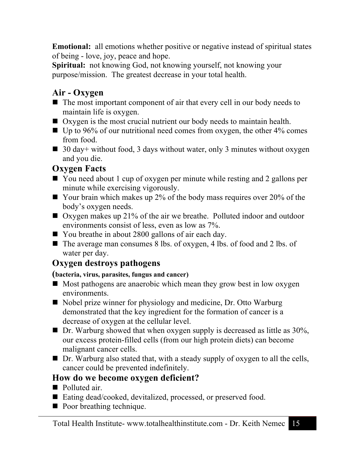**Emotional:** all emotions whether positive or negative instead of spiritual states of being - love, joy, peace and hope.

**Spiritual:** not knowing God, not knowing yourself, not knowing your purpose/mission. The greatest decrease in your total health.

## **Air - Oxygen**

- $\blacksquare$  The most important component of air that every cell in our body needs to maintain life is oxygen.
- $\Box$  Oxygen is the most crucial nutrient our body needs to maintain health.
- $\blacksquare$  Up to 96% of our nutritional need comes from oxygen, the other 4% comes from food.
- $\Box$  30 day+ without food, 3 days without water, only 3 minutes without oxygen and you die.

## **Oxygen Facts**

- You need about 1 cup of oxygen per minute while resting and 2 gallons per minute while exercising vigorously.
- Nour brain which makes up 2% of the body mass requires over 20% of the body's oxygen needs.
- Oxygen makes up 21% of the air we breathe. Polluted indoor and outdoor environments consist of less, even as low as 7%.
- $\blacksquare$  You breathe in about 2800 gallons of air each day.
- $\blacksquare$  The average man consumes 8 lbs. of oxygen, 4 lbs. of food and 2 lbs. of water per day.

## **Oxygen destroys pathogens**

#### **(bacteria, virus, parasites, fungus and cancer)**

- $\blacksquare$  Most pathogens are anaerobic which mean they grow best in low oxygen environments.
- Nobel prize winner for physiology and medicine, Dr. Otto Warburg demonstrated that the key ingredient for the formation of cancer is a decrease of oxygen at the cellular level.
- $\blacksquare$  Dr. Warburg showed that when oxygen supply is decreased as little as 30%, our excess protein-filled cells (from our high protein diets) can become malignant cancer cells.
- Dr. Warburg also stated that, with a steady supply of oxygen to all the cells, cancer could be prevented indefinitely.

## **How do we become oxygen deficient?**

- Polluted air.
- Eating dead/cooked, devitalized, processed, or preserved food.
- Poor breathing technique.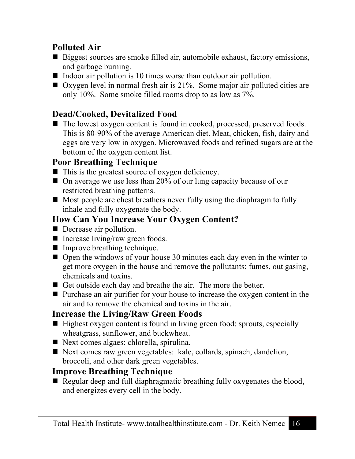## **Polluted Air**

- Biggest sources are smoke filled air, automobile exhaust, factory emissions, and garbage burning.
- $\blacksquare$  Indoor air pollution is 10 times worse than outdoor air pollution.
- $\blacksquare$  Oxygen level in normal fresh air is 21%. Some major air-polluted cities are only 10%. Some smoke filled rooms drop to as low as 7%.

## **Dead/Cooked, Devitalized Food**

■ The lowest oxygen content is found in cooked, processed, preserved foods. This is 80-90% of the average American diet. Meat, chicken, fish, dairy and eggs are very low in oxygen. Microwaved foods and refined sugars are at the bottom of the oxygen content list.

## **Poor Breathing Technique**

- $\blacksquare$  This is the greatest source of oxygen deficiency.
- $\Box$  On average we use less than 20% of our lung capacity because of our restricted breathing patterns.
- Most people are chest breathers never fully using the diaphragm to fully inhale and fully oxygenate the body.

## **How Can You Increase Your Oxygen Content?**

- Decrease air pollution.
- $\blacksquare$  Increase living/raw green foods.
- $\blacksquare$  Improve breathing technique.
- $\blacksquare$  Open the windows of your house 30 minutes each day even in the winter to get more oxygen in the house and remove the pollutants: fumes, out gasing, chemicals and toxins.
- $\blacksquare$  Get outside each day and breathe the air. The more the better.
- $\blacksquare$  Purchase an air purifier for your house to increase the oxygen content in the air and to remove the chemical and toxins in the air.

## **Increase the Living/Raw Green Foods**

- $\blacksquare$  Highest oxygen content is found in living green food: sprouts, especially wheatgrass, sunflower, and buckwheat.
- $\blacksquare$  Next comes algaes: chlorella, spirulina.
- n Next comes raw green vegetables: kale, collards, spinach, dandelion, broccoli, and other dark green vegetables.

## **Improve Breathing Technique**

**n** Regular deep and full diaphragmatic breathing fully oxygenates the blood, and energizes every cell in the body.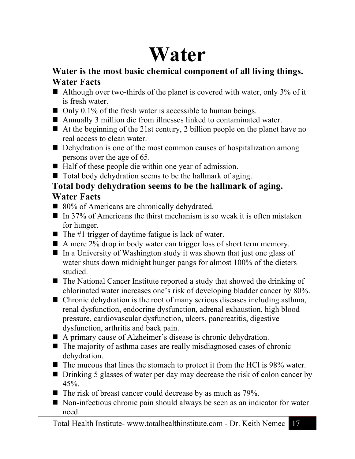## **Water**

#### **Water is the most basic chemical component of all living things. Water Facts**

- $\blacksquare$  Although over two-thirds of the planet is covered with water, only 3% of it is fresh water.
- $\blacksquare$  Only 0.1% of the fresh water is accessible to human beings.
- $\blacksquare$  Annually 3 million die from illnesses linked to contaminated water.
- $\blacksquare$  At the beginning of the 21st century, 2 billion people on the planet have no real access to clean water.
- $\blacksquare$  Dehydration is one of the most common causes of hospitalization among persons over the age of 65.
- $\blacksquare$  Half of these people die within one year of admission.
- $\blacksquare$  Total body dehydration seems to be the hallmark of aging.

#### **Total body dehydration seems to be the hallmark of aging. Water Facts**

- 80% of Americans are chronically dehydrated.
- $\blacksquare$  In 37% of Americans the thirst mechanism is so weak it is often mistaken for hunger.
- $\blacksquare$  The #1 trigger of daytime fatigue is lack of water.
- $\blacksquare$  A mere 2% drop in body water can trigger loss of short term memory.
- $\blacksquare$  In a University of Washington study it was shown that just one glass of water shuts down midnight hunger pangs for almost 100% of the dieters studied.
- The National Cancer Institute reported a study that showed the drinking of chlorinated water increases one's risk of developing bladder cancer by 80%.
- $\blacksquare$  Chronic dehydration is the root of many serious diseases including asthma, renal dysfunction, endocrine dysfunction, adrenal exhaustion, high blood pressure, cardiovascular dysfunction, ulcers, pancreatitis, digestive dysfunction, arthritis and back pain.
- A primary cause of Alzheimer's disease is chronic dehydration.
- $\blacksquare$  The majority of asthma cases are really misdiagnosed cases of chronic dehydration.
- $\blacksquare$  The mucous that lines the stomach to protect it from the HCl is 98% water.
- Drinking 5 glasses of water per day may decrease the risk of colon cancer by  $45%$
- $\blacksquare$  The risk of breast cancer could decrease by as much as 79%.
- $\blacksquare$  Non-infectious chronic pain should always be seen as an indicator for water need.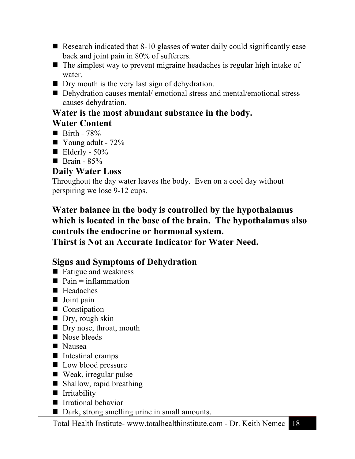- Research indicated that  $8-10$  glasses of water daily could significantly ease back and joint pain in 80% of sufferers.
- $\blacksquare$  The simplest way to prevent migraine headaches is regular high intake of water.
- $\blacksquare$  Dry mouth is the very last sign of dehydration.
- Dehydration causes mental/ emotional stress and mental/emotional stress causes dehydration.

#### **Water is the most abundant substance in the body.**

#### **Water Content**

- $\blacksquare$  Birth 78%
- $\blacksquare$  Young adult 72%
- $\blacksquare$  Elderly 50%
- **n** Brain  $85%$

#### **Daily Water Loss**

Throughout the day water leaves the body. Even on a cool day without perspiring we lose 9-12 cups.

## **Water balance in the body is controlled by the hypothalamus which is located in the base of the brain. The hypothalamus also controls the endocrine or hormonal system.**

#### **Thirst is Not an Accurate Indicator for Water Need.**

#### **Signs and Symptoms of Dehydration**

- $\blacksquare$  Fatigue and weakness
- $\blacksquare$  Pain = inflammation
- Headaches
- $\blacksquare$  Joint pain
- $\blacksquare$  Constipation
- $\blacksquare$  Dry, rough skin
- $\blacksquare$  Dry nose, throat, mouth
- $\blacksquare$  Nose bleeds
- $\blacksquare$  Nausea
- $\blacksquare$  Intestinal cramps
- Low blood pressure
- $\blacksquare$  Weak, irregular pulse
- $\blacksquare$  Shallow, rapid breathing
- **n** Irritability
- $\blacksquare$  Irrational behavior
- Dark, strong smelling urine in small amounts.

Total Health Institute- www.totalhealthinstitute.com - Dr. Keith Nemec 18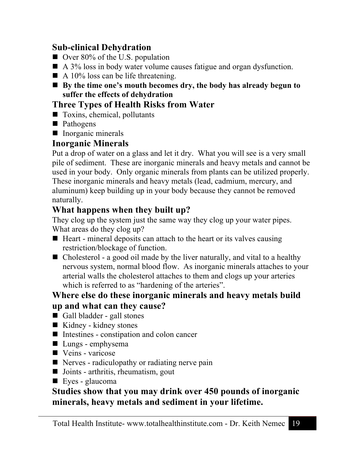#### **Sub-clinical Dehydration**

- $\blacksquare$  Over 80% of the U.S. population
- $\blacksquare$  A 3% loss in body water volume causes fatigue and organ dysfunction.
- $\blacksquare$  A 10% loss can be life threatening.
- By the time one's mouth becomes dry, the body has already begun to **suffer the effects of dehydration**

## **Three Types of Health Risks from Water**

- $\blacksquare$  Toxins, chemical, pollutants
- $\blacksquare$  Pathogens
- $\blacksquare$  Inorganic minerals

## **Inorganic Minerals**

Put a drop of water on a glass and let it dry. What you will see is a very small pile of sediment. These are inorganic minerals and heavy metals and cannot be used in your body. Only organic minerals from plants can be utilized properly. These inorganic minerals and heavy metals (lead, cadmium, mercury, and aluminum) keep building up in your body because they cannot be removed naturally.

## **What happens when they built up?**

They clog up the system just the same way they clog up your water pipes. What areas do they clog up?

- $\blacksquare$  Heart mineral deposits can attach to the heart or its valves causing restriction/blockage of function.
- $\blacksquare$  Cholesterol a good oil made by the liver naturally, and vital to a healthy nervous system, normal blood flow. As inorganic minerals attaches to your arterial walls the cholesterol attaches to them and clogs up your arteries which is referred to as "hardening of the arteries".

#### **Where else do these inorganic minerals and heavy metals build up and what can they cause?**

- Gall bladder gall stones
- $\blacksquare$  Kidney kidney stones
- $\blacksquare$  Intestines constipation and colon cancer
- $\blacksquare$  Lungs emphysema
- $\blacksquare$  Veins varicose
- $\blacksquare$  Nerves radiculopathy or radiating nerve pain
- $\blacksquare$  Joints arthritis, rheumatism, gout
- $\blacksquare$  Eyes glaucoma

#### **Studies show that you may drink over 450 pounds of inorganic minerals, heavy metals and sediment in your lifetime.**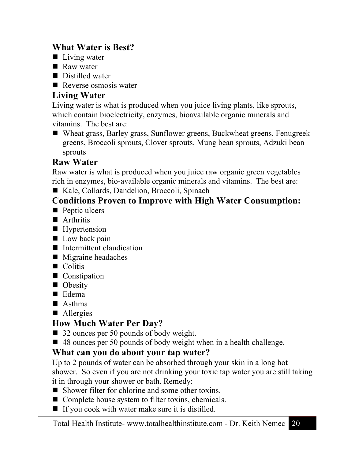#### **What Water is Best?**

- $\blacksquare$  Living water
- $\blacksquare$  Raw water
- $\blacksquare$  Distilled water
- $\blacksquare$  Reverse osmosis water

## **Living Water**

Living water is what is produced when you juice living plants, like sprouts, which contain bioelectricity, enzymes, bioavailable organic minerals and vitamins. The best are:

■ Wheat grass, Barley grass, Sunflower greens, Buckwheat greens, Fenugreek greens, Broccoli sprouts, Clover sprouts, Mung bean sprouts, Adzuki bean sprouts

## **Raw Water**

Raw water is what is produced when you juice raw organic green vegetables rich in enzymes, bio-available organic minerals and vitamins. The best are:

■ Kale, Collards, Dandelion, Broccoli, Spinach

## **Conditions Proven to Improve with High Water Consumption:**

- $\blacksquare$  Peptic ulcers
- $\blacksquare$  Arthritis
- $\blacksquare$  Hypertension
- $\blacksquare$  Low back pain
- $\blacksquare$  Intermittent claudication
- $\blacksquare$  Migraine headaches
- $\blacksquare$  Colitis
- $\blacksquare$  Constipation
- $\blacksquare$  Obesity
- $\blacksquare$  Edema
- $A$ sthma
- $\blacksquare$  Allergies

## **How Much Water Per Day?**

- 32 ounces per 50 pounds of body weight.
- 48 ounces per 50 pounds of body weight when in a health challenge.

#### **What can you do about your tap water?**

Up to 2 pounds of water can be absorbed through your skin in a long hot shower. So even if you are not drinking your toxic tap water you are still taking it in through your shower or bath. Remedy:

- $\blacksquare$  Shower filter for chlorine and some other toxins.
- $\blacksquare$  Complete house system to filter toxins, chemicals.
- $\blacksquare$  If you cook with water make sure it is distilled.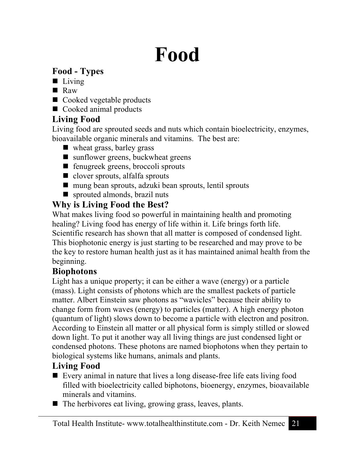# **Food**

## **Food - Types**

- $\blacksquare$  Living
- $\blacksquare$  Raw
- $\Box$  Cooked vegetable products
- $\Box$  Cooked animal products

## **Living Food**

Living food are sprouted seeds and nuts which contain bioelectricity, enzymes, bioavailable organic minerals and vitamins. The best are:

- $\blacksquare$  wheat grass, barley grass
- $\blacksquare$  sunflower greens, buckwheat greens
- $\blacksquare$  fenugreek greens, broccoli sprouts
- $\blacksquare$  clover sprouts, alfalfa sprouts
- $\blacksquare$  mung bean sprouts, adzuki bean sprouts, lentil sprouts
- $\blacksquare$  sprouted almonds, brazil nuts

## **Why is Living Food the Best?**

What makes living food so powerful in maintaining health and promoting healing? Living food has energy of life within it. Life brings forth life. Scientific research has shown that all matter is composed of condensed light. This biophotonic energy is just starting to be researched and may prove to be the key to restore human health just as it has maintained animal health from the beginning.

## **Biophotons**

Light has a unique property; it can be either a wave (energy) or a particle (mass). Light consists of photons which are the smallest packets of particle matter. Albert Einstein saw photons as "wavicles" because their ability to change form from waves (energy) to particles (matter). A high energy photon (quantum of light) slows down to become a particle with electron and positron. According to Einstein all matter or all physical form is simply stilled or slowed down light. To put it another way all living things are just condensed light or condensed photons. These photons are named biophotons when they pertain to biological systems like humans, animals and plants.

## **Living Food**

- $\blacksquare$  Every animal in nature that lives a long disease-free life eats living food filled with bioelectricity called biphotons, bioenergy, enzymes, bioavailable minerals and vitamins.
- $\blacksquare$  The herbivores eat living, growing grass, leaves, plants.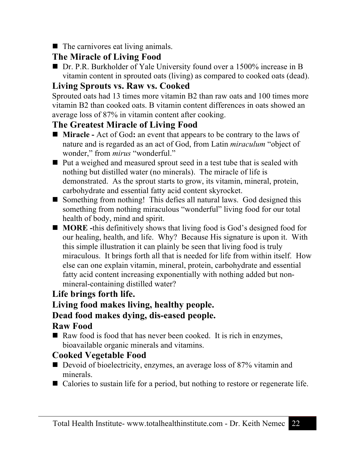$\blacksquare$  The carnivores eat living animals.

## **The Miracle of Living Food**

■ Dr. P.R. Burkholder of Yale University found over a 1500% increase in B vitamin content in sprouted oats (living) as compared to cooked oats (dead).

## **Living Sprouts vs. Raw vs. Cooked**

Sprouted oats had 13 times more vitamin B2 than raw oats and 100 times more vitamin B2 than cooked oats. B vitamin content differences in oats showed an average loss of 87% in vitamin content after cooking.

## **The Greatest Miracle of Living Food**

- **Miracle** Act of God: an event that appears to be contrary to the laws of nature and is regarded as an act of God, from Latin *miraculum* "object of wonder," from *mirus* "wonderful."
- $\blacksquare$  Put a weighed and measured sprout seed in a test tube that is sealed with nothing but distilled water (no minerals). The miracle of life is demonstrated. As the sprout starts to grow, its vitamin, mineral, protein, carbohydrate and essential fatty acid content skyrocket.
- Something from nothing! This defies all natural laws. God designed this something from nothing miraculous "wonderful" living food for our total health of body, mind and spirit.
- **n MORE** -this definitively shows that living food is God's designed food for our healing, health, and life. Why? Because His signature is upon it. With this simple illustration it can plainly be seen that living food is truly miraculous. It brings forth all that is needed for life from within itself. How else can one explain vitamin, mineral, protein, carbohydrate and essential fatty acid content increasing exponentially with nothing added but nonmineral-containing distilled water?

## **Life brings forth life.**

## **Living food makes living, healthy people.**

#### **Dead food makes dying, dis-eased people.**

#### **Raw Food**

■ Raw food is food that has never been cooked. It is rich in enzymes, bioavailable organic minerals and vitamins.

## **Cooked Vegetable Food**

- $\blacksquare$  Devoid of bioelectricity, enzymes, an average loss of 87% vitamin and minerals.
- $\blacksquare$  Calories to sustain life for a period, but nothing to restore or regenerate life.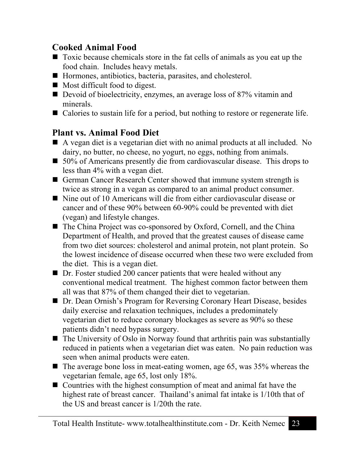## **Cooked Animal Food**

- Toxic because chemicals store in the fat cells of animals as you eat up the food chain. Includes heavy metals.
- $\blacksquare$  Hormones, antibiotics, bacteria, parasites, and cholesterol.
- $\blacksquare$  Most difficult food to digest.
- Devoid of bioelectricity, enzymes, an average loss of 87% vitamin and minerals.
- Calories to sustain life for a period, but nothing to restore or regenerate life.

### **Plant vs. Animal Food Diet**

- $\blacksquare$  A vegan diet is a vegetarian diet with no animal products at all included. No dairy, no butter, no cheese, no yogurt, no eggs, nothing from animals.
- 50% of Americans presently die from cardiovascular disease. This drops to less than 4% with a vegan diet.
- German Cancer Research Center showed that immune system strength is twice as strong in a vegan as compared to an animal product consumer.
- Nine out of 10 Americans will die from either cardiovascular disease or cancer and of these 90% between 60-90% could be prevented with diet (vegan) and lifestyle changes.
- $\blacksquare$  The China Project was co-sponsored by Oxford, Cornell, and the China Department of Health, and proved that the greatest causes of disease came from two diet sources: cholesterol and animal protein, not plant protein. So the lowest incidence of disease occurred when these two were excluded from the diet. This is a vegan diet.
- $\blacksquare$  Dr. Foster studied 200 cancer patients that were healed without any conventional medical treatment. The highest common factor between them all was that 87% of them changed their diet to vegetarian.
- Dr. Dean Ornish's Program for Reversing Coronary Heart Disease, besides daily exercise and relaxation techniques, includes a predominately vegetarian diet to reduce coronary blockages as severe as 90% so these patients didn't need bypass surgery.
- $\blacksquare$  The University of Oslo in Norway found that arthritis pain was substantially reduced in patients when a vegetarian diet was eaten. No pain reduction was seen when animal products were eaten.
- $\blacksquare$  The average bone loss in meat-eating women, age 65, was 35% whereas the vegetarian female, age 65, lost only 18%.
- $\blacksquare$  Countries with the highest consumption of meat and animal fat have the highest rate of breast cancer. Thailand's animal fat intake is 1/10th that of the US and breast cancer is 1/20th the rate.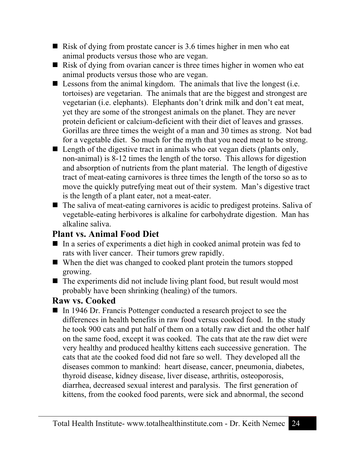- Risk of dying from prostate cancer is 3.6 times higher in men who eat animal products versus those who are vegan.
- $\blacksquare$  Risk of dying from ovarian cancer is three times higher in women who eat animal products versus those who are vegan.
- E Lessons from the animal kingdom. The animals that live the longest (i.e. tortoises) are vegetarian. The animals that are the biggest and strongest are vegetarian (i.e. elephants). Elephants don't drink milk and don't eat meat, yet they are some of the strongest animals on the planet. They are never protein deficient or calcium-deficient with their diet of leaves and grasses. Gorillas are three times the weight of a man and 30 times as strong. Not bad for a vegetable diet. So much for the myth that you need meat to be strong.
- $\blacksquare$  Length of the digestive tract in animals who eat vegan diets (plants only, non-animal) is 8-12 times the length of the torso. This allows for digestion and absorption of nutrients from the plant material. The length of digestive tract of meat-eating carnivores is three times the length of the torso so as to move the quickly putrefying meat out of their system. Man's digestive tract is the length of a plant eater, not a meat-eater.
- $\blacksquare$  The saliva of meat-eating carnivores is acidic to predigest proteins. Saliva of vegetable-eating herbivores is alkaline for carbohydrate digestion. Man has alkaline saliva.

#### **Plant vs. Animal Food Diet**

- $\blacksquare$  In a series of experiments a diet high in cooked animal protein was fed to rats with liver cancer. Their tumors grew rapidly.
- $\blacksquare$  When the diet was changed to cooked plant protein the tumors stopped growing.
- $\blacksquare$  The experiments did not include living plant food, but result would most probably have been shrinking (healing) of the tumors.

#### **Raw vs. Cooked**

■ In 1946 Dr. Francis Pottenger conducted a research project to see the differences in health benefits in raw food versus cooked food. In the study he took 900 cats and put half of them on a totally raw diet and the other half on the same food, except it was cooked. The cats that ate the raw diet were very healthy and produced healthy kittens each successive generation. The cats that ate the cooked food did not fare so well. They developed all the diseases common to mankind: heart disease, cancer, pneumonia, diabetes, thyroid disease, kidney disease, liver disease, arthritis, osteoporosis, diarrhea, decreased sexual interest and paralysis. The first generation of kittens, from the cooked food parents, were sick and abnormal, the second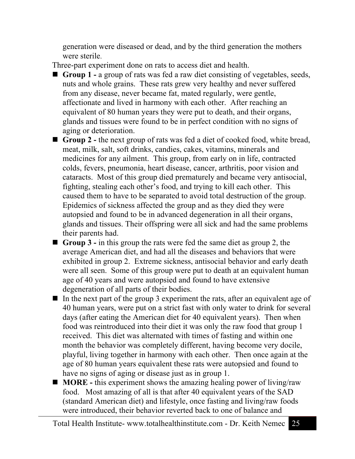generation were diseased or dead, and by the third generation the mothers were sterile.

Three-part experiment done on rats to access diet and health.

- Group 1 a group of rats was fed a raw diet consisting of vegetables, seeds, nuts and whole grains. These rats grew very healthy and never suffered from any disease, never became fat, mated regularly, were gentle, affectionate and lived in harmony with each other. After reaching an equivalent of 80 human years they were put to death, and their organs, glands and tissues were found to be in perfect condition with no signs of aging or deterioration.
- **Group 2** the next group of rats was fed a diet of cooked food, white bread, meat, milk, salt, soft drinks, candies, cakes, vitamins, minerals and medicines for any ailment. This group, from early on in life, contracted colds, fevers, pneumonia, heart disease, cancer, arthritis, poor vision and cataracts. Most of this group died prematurely and became very antisocial, fighting, stealing each other's food, and trying to kill each other. This caused them to have to be separated to avoid total destruction of the group. Epidemics of sickness affected the group and as they died they were autopsied and found to be in advanced degeneration in all their organs, glands and tissues. Their offspring were all sick and had the same problems their parents had.
- **F** Group 3 in this group the rats were fed the same diet as group 2, the average American diet, and had all the diseases and behaviors that were exhibited in group 2. Extreme sickness, antisocial behavior and early death were all seen. Some of this group were put to death at an equivalent human age of 40 years and were autopsied and found to have extensive degeneration of all parts of their bodies.
- $\blacksquare$  In the next part of the group 3 experiment the rats, after an equivalent age of 40 human years, were put on a strict fast with only water to drink for several days (after eating the American diet for 40 equivalent years). Then when food was reintroduced into their diet it was only the raw food that group 1 received. This diet was alternated with times of fasting and within one month the behavior was completely different, having become very docile, playful, living together in harmony with each other. Then once again at the age of 80 human years equivalent these rats were autopsied and found to have no signs of aging or disease just as in group 1.
- **n MORE** this experiment shows the amazing healing power of living/raw food. Most amazing of all is that after 40 equivalent years of the SAD (standard American diet) and lifestyle, once fasting and living/raw foods were introduced, their behavior reverted back to one of balance and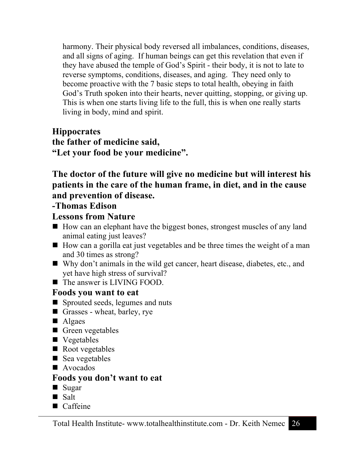harmony. Their physical body reversed all imbalances, conditions, diseases, and all signs of aging. If human beings can get this revelation that even if they have abused the temple of God's Spirit - their body, it is not to late to reverse symptoms, conditions, diseases, and aging. They need only to become proactive with the 7 basic steps to total health, obeying in faith God's Truth spoken into their hearts, never quitting, stopping, or giving up. This is when one starts living life to the full, this is when one really starts living in body, mind and spirit.

#### **Hippocrates the father of medicine said, "Let your food be your medicine".**

#### **The doctor of the future will give no medicine but will interest his patients in the care of the human frame, in diet, and in the cause and prevention of disease.**

#### **-Thomas Edison**

#### **Lessons from Nature**

- $\blacksquare$  How can an elephant have the biggest bones, strongest muscles of any land animal eating just leaves?
- $\blacksquare$  How can a gorilla eat just vegetables and be three times the weight of a man and 30 times as strong?
- n Why don't animals in the wild get cancer, heart disease, diabetes, etc., and yet have high stress of survival?
- The answer is LIVING FOOD.

#### **Foods you want to eat**

- Sprouted seeds, legumes and nuts
- Grasses wheat, barley, rye
- Algaes
- $\blacksquare$  Green vegetables
- $\blacksquare$  Vegetables
- $\blacksquare$  Root vegetables
- $\blacksquare$  Sea vegetables
- $\blacksquare$  Avocados

#### **Foods you don't want to eat**

- $\blacksquare$  Sugar
- $\blacksquare$  Salt
- $\blacksquare$  Caffeine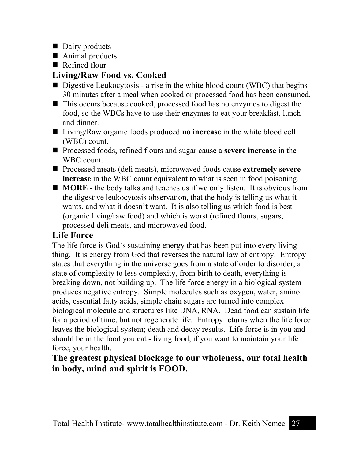- $\blacksquare$  Dairy products
- $\blacksquare$  Animal products
- $\blacksquare$  Refined flour

## **Living/Raw Food vs. Cooked**

- $\blacksquare$  Digestive Leukocytosis a rise in the white blood count (WBC) that begins 30 minutes after a meal when cooked or processed food has been consumed.
- This occurs because cooked, processed food has no enzymes to digest the food, so the WBCs have to use their enzymes to eat your breakfast, lunch and dinner.
- Living/Raw organic foods produced **no increase** in the white blood cell (WBC) count.
- n Processed foods, refined flours and sugar cause a **severe increase** in the WBC count.
- Processed meats (deli meats), microwaved foods cause **extremely severe increase** in the WBC count equivalent to what is seen in food poisoning.
- **NORE** the body talks and teaches us if we only listen. It is obvious from the digestive leukocytosis observation, that the body is telling us what it wants, and what it doesn't want. It is also telling us which food is best (organic living/raw food) and which is worst (refined flours, sugars, processed deli meats, and microwaved food.

## **Life Force**

The life force is God's sustaining energy that has been put into every living thing. It is energy from God that reverses the natural law of entropy. Entropy states that everything in the universe goes from a state of order to disorder, a state of complexity to less complexity, from birth to death, everything is breaking down, not building up. The life force energy in a biological system produces negative entropy. Simple molecules such as oxygen, water, amino acids, essential fatty acids, simple chain sugars are turned into complex biological molecule and structures like DNA, RNA. Dead food can sustain life for a period of time, but not regenerate life. Entropy returns when the life force leaves the biological system; death and decay results. Life force is in you and should be in the food you eat - living food, if you want to maintain your life force, your health.

#### **The greatest physical blockage to our wholeness, our total health in body, mind and spirit is FOOD.**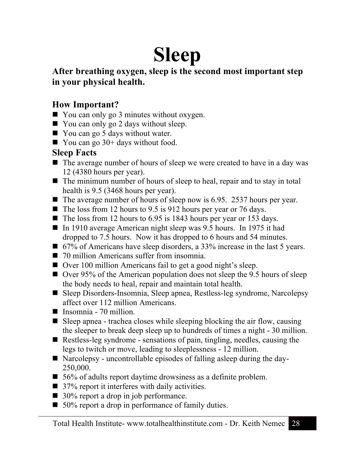# **Sleep**

#### **After breathing oxygen, sleep is the second most important step in your physical health.**

#### **How Important?**

- $\blacksquare$  You can only go 3 minutes without oxygen.
- You can only go 2 days without sleep.
- $\blacksquare$  You can go 5 days without water.
- $\blacksquare$  You can go 30+ days without food.

#### **Sleep Facts**

- $\blacksquare$  The average number of hours of sleep we were created to have in a day was 12 (4380 hours per year).
- $\blacksquare$  The minimum number of hours of sleep to heal, repair and to stay in total health is 9.5 (3468 hours per year).
- $\blacksquare$  The average number of hours of sleep now is 6.95. 2537 hours per year.
- $\blacksquare$  The loss from 12 hours to 9.5 is 912 hours per year or 76 days.
- $\blacksquare$  The loss from 12 hours to 6.95 is 1843 hours per year or 153 days.
- In 1910 average American night sleep was 9.5 hours. In 1975 it had dropped to 7.5 hours. Now it has dropped to 6 hours and 54 minutes.
- 67% of Americans have sleep disorders, a 33% increase in the last 5 years.
- $\blacksquare$  70 million Americans suffer from insomnia.
- Over 100 million Americans fail to get a good night's sleep.
- $\blacksquare$  Over 95% of the American population does not sleep the 9.5 hours of sleep the body needs to heal, repair and maintain total health.
- Sleep Disorders-Insomnia, Sleep apnea, Restless-leg syndrome, Narcolepsy affect over 112 million Americans.
- $\blacksquare$  Insomnia 70 million.
- $\blacksquare$  Sleep apnea trachea closes while sleeping blocking the air flow, causing the sleeper to break deep sleep up to hundreds of times a night - 30 million.
- n Restless-leg syndrome sensations of pain, tingling, needles, causing the legs to twitch or move, leading to sleeplessness - 12 million.
- $\blacksquare$  Narcolepsy uncontrollable episodes of falling asleep during the day-250,000.
- $\blacksquare$  56% of adults report daytime drowsiness as a definite problem.
- $\blacksquare$  37% report it interferes with daily activities.
- $\blacksquare$  30% report a drop in job performance.
- $\blacksquare$  50% report a drop in performance of family duties.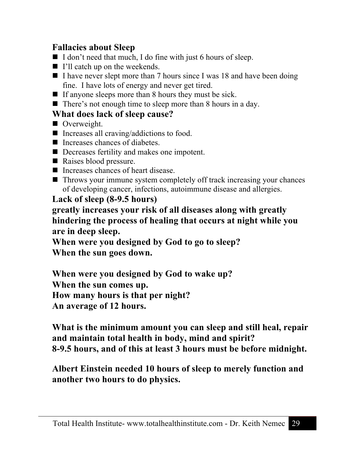#### **Fallacies about Sleep**

- $\blacksquare$  I don't need that much, I do fine with just 6 hours of sleep.
- $\blacksquare$  I'll catch up on the weekends.
- $\blacksquare$  I have never slept more than 7 hours since I was 18 and have been doing fine. I have lots of energy and never get tired.
- $\blacksquare$  If anyone sleeps more than 8 hours they must be sick.

 $\blacksquare$  There's not enough time to sleep more than 8 hours in a day.

## **What does lack of sleep cause?**

- $\blacksquare$  Overweight.
- $\blacksquare$  Increases all craving/addictions to food.
- $\blacksquare$  Increases chances of diabetes.
- Decreases fertility and makes one impotent.
- Raises blood pressure.
- $\blacksquare$  Increases chances of heart disease.
- $\blacksquare$  Throws your immune system completely off track increasing your chances of developing cancer, infections, autoimmune disease and allergies.

### **Lack of sleep (8-9.5 hours)**

**greatly increases your risk of all diseases along with greatly hindering the process of healing that occurs at night while you are in deep sleep.**

**When were you designed by God to go to sleep? When the sun goes down.**

**When were you designed by God to wake up? When the sun comes up. How many hours is that per night? An average of 12 hours.**

**What is the minimum amount you can sleep and still heal, repair and maintain total health in body, mind and spirit? 8-9.5 hours, and of this at least 3 hours must be before midnight.**

**Albert Einstein needed 10 hours of sleep to merely function and another two hours to do physics.**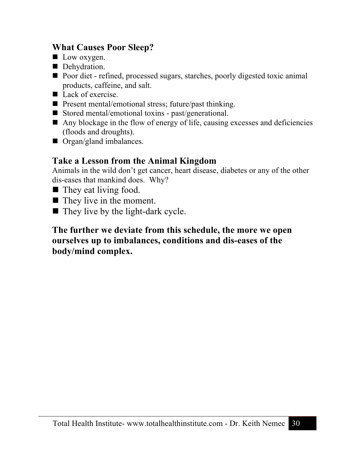### **What Causes Poor Sleep?**

- **Low oxygen.**
- Dehydration.
- Poor diet refined, processed sugars, starches, poorly digested toxic animal products, caffeine, and salt.
- $\blacksquare$  Lack of exercise.
- $\blacksquare$  Present mental/emotional stress; future/past thinking.
- Stored mental/emotional toxins past/generational.
- $\blacksquare$  Any blockage in the flow of energy of life, causing excesses and deficiencies (floods and droughts).
- $\Box$  Organ/gland imbalances.

#### **Take a Lesson from the Animal Kingdom**

Animals in the wild don't get cancer, heart disease, diabetes or any of the other dis-eases that mankind does. Why?

- $\blacksquare$  They eat living food.
- $\blacksquare$  They live in the moment.
- $\blacksquare$  They live by the light-dark cycle.

**The further we deviate from this schedule, the more we open ourselves up to imbalances, conditions and dis-eases of the body/mind complex.**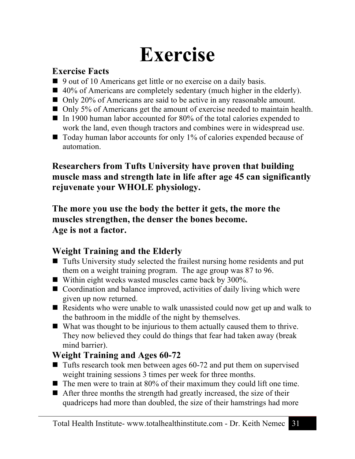## **Exercise**

### **Exercise Facts**

- 9 out of 10 Americans get little or no exercise on a daily basis.
- $\blacksquare$  40% of Americans are completely sedentary (much higher in the elderly).
- $\Box$  Only 20% of Americans are said to be active in any reasonable amount.
- $\Box$  Only 5% of Americans get the amount of exercise needed to maintain health.
- $\blacksquare$  In 1900 human labor accounted for 80% of the total calories expended to work the land, even though tractors and combines were in widespread use.
- $\blacksquare$  Today human labor accounts for only 1% of calories expended because of automation.

**Researchers from Tufts University have proven that building muscle mass and strength late in life after age 45 can significantly rejuvenate your WHOLE physiology.**

**The more you use the body the better it gets, the more the muscles strengthen, the denser the bones become. Age is not a factor.**

## **Weight Training and the Elderly**

- $\blacksquare$  Tufts University study selected the frailest nursing home residents and put them on a weight training program. The age group was 87 to 96.
- $\blacksquare$  Within eight weeks wasted muscles came back by 300%.
- $\blacksquare$  Coordination and balance improved, activities of daily living which were given up now returned.
- Residents who were unable to walk unassisted could now get up and walk to the bathroom in the middle of the night by themselves.
- $\blacksquare$  What was thought to be injurious to them actually caused them to thrive. They now believed they could do things that fear had taken away (break mind barrier).

#### **Weight Training and Ages 60-72**

- $\blacksquare$  Tufts research took men between ages 60-72 and put them on supervised weight training sessions 3 times per week for three months.
- $\blacksquare$  The men were to train at 80% of their maximum they could lift one time.
- $\blacksquare$  After three months the strength had greatly increased, the size of their quadriceps had more than doubled, the size of their hamstrings had more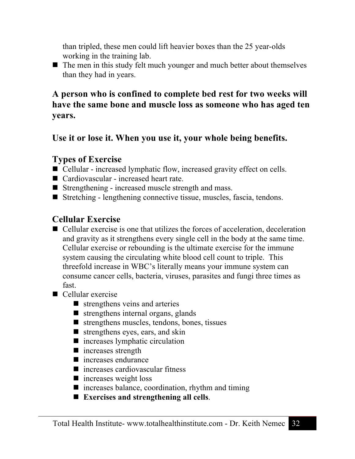than tripled, these men could lift heavier boxes than the 25 year-olds working in the training lab.

 $\blacksquare$  The men in this study felt much younger and much better about themselves than they had in years.

#### **A person who is confined to complete bed rest for two weeks will have the same bone and muscle loss as someone who has aged ten years.**

### **Use it or lose it. When you use it, your whole being benefits.**

#### **Types of Exercise**

- Cellular increased lymphatic flow, increased gravity effect on cells.
- Cardiovascular increased heart rate.
- $\blacksquare$  Strengthening increased muscle strength and mass.
- $\blacksquare$  Stretching lengthening connective tissue, muscles, fascia, tendons.

### **Cellular Exercise**

- $\blacksquare$  Cellular exercise is one that utilizes the forces of acceleration, deceleration and gravity as it strengthens every single cell in the body at the same time. Cellular exercise or rebounding is the ultimate exercise for the immune system causing the circulating white blood cell count to triple. This threefold increase in WBC's literally means your immune system can consume cancer cells, bacteria, viruses, parasites and fungi three times as fast.
- $\blacksquare$  Cellular exercise
	- $\blacksquare$  strengthens veins and arteries
	- $\blacksquare$  strengthens internal organs, glands
	- $\blacksquare$  strengthens muscles, tendons, bones, tissues
	- $\blacksquare$  strengthens eyes, ears, and skin
	- $\blacksquare$  increases lymphatic circulation
	- $\blacksquare$  increases strength
	- $\blacksquare$  increases endurance
	- $\blacksquare$  increases cardiovascular fitness
	- $\blacksquare$  increases weight loss
	- $\blacksquare$  increases balance, coordination, rhythm and timing
	- Exercises and strengthening all cells.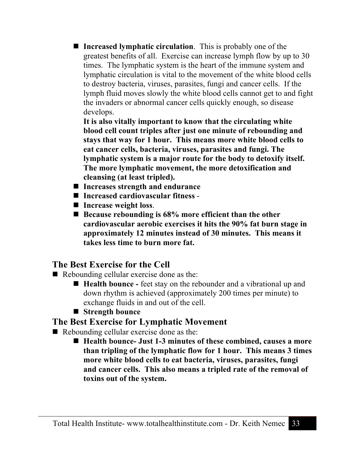■ **Increased lymphatic circulation**. This is probably one of the greatest benefits of all. Exercise can increase lymph flow by up to 30 times. The lymphatic system is the heart of the immune system and lymphatic circulation is vital to the movement of the white blood cells to destroy bacteria, viruses, parasites, fungi and cancer cells. If the lymph fluid moves slowly the white blood cells cannot get to and fight the invaders or abnormal cancer cells quickly enough, so disease develops.

**It is also vitally important to know that the circulating white blood cell count triples after just one minute of rebounding and stays that way for 1 hour. This means more white blood cells to eat cancer cells, bacteria, viruses, parasites and fungi. The lymphatic system is a major route for the body to detoxify itself. The more lymphatic movement, the more detoxification and cleansing (at least tripled).** 

- **Increases strength and endurance**
- Increased cardiovascular fitness -
- $\blacksquare$  Increase weight loss.
- Because rebounding is 68% more efficient than the other **cardiovascular aerobic exercises it hits the 90% fat burn stage in approximately 12 minutes instead of 30 minutes. This means it takes less time to burn more fat.**

#### **The Best Exercise for the Cell**

- $\blacksquare$  Rebounding cellular exercise done as the:
	- **Health bounce** feet stay on the rebounder and a vibrational up and down rhythm is achieved (approximately 200 times per minute) to exchange fluids in and out of the cell.
	- Strength bounce

#### **The Best Exercise for Lymphatic Movement**

- $\blacksquare$  Rebounding cellular exercise done as the:
	- **Health bounce-** Just 1-3 minutes of these combined, causes a more **than tripling of the lymphatic flow for 1 hour. This means 3 times more white blood cells to eat bacteria, viruses, parasites, fungi and cancer cells. This also means a tripled rate of the removal of toxins out of the system.**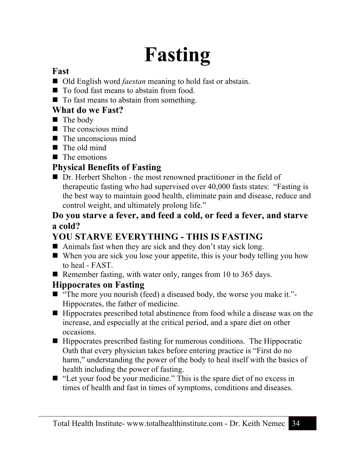# **Fasting**

#### **Fast**

- Old English word *faestan* meaning to hold fast or abstain.
- To food fast means to abstain from food.
- $\blacksquare$  To fast means to abstain from something.

#### **What do we Fast?**

- $\blacksquare$  The body
- $\blacksquare$  The conscious mind
- $\blacksquare$  The unconscious mind
- $\blacksquare$  The old mind
- $\blacksquare$  The emotions

## **Physical Benefits of Fasting**

■ Dr. Herbert Shelton - the most renowned practitioner in the field of therapeutic fasting who had supervised over 40,000 fasts states: "Fasting is the best way to maintain good health, eliminate pain and disease, reduce and control weight, and ultimately prolong life."

#### **Do you starve a fever, and feed a cold, or feed a fever, and starve a cold?**

## **YOU STARVE EVERYTHING - THIS IS FASTING**

- $\blacksquare$  Animals fast when they are sick and they don't stay sick long.
- $\blacksquare$  When you are sick you lose your appetite, this is your body telling you how to heal - FAST.
- Remember fasting, with water only, ranges from 10 to 365 days.

#### **Hippocrates on Fasting**

- $\blacksquare$  "The more you nourish (feed) a diseased body, the worse you make it." Hippocrates, the father of medicine.
- $\blacksquare$  Hippocrates prescribed total abstinence from food while a disease was on the increase, and especially at the critical period, and a spare diet on other occasions.
- $\blacksquare$  Hippocrates prescribed fasting for numerous conditions. The Hippocratic Oath that every physician takes before entering practice is "First do no harm," understanding the power of the body to heal itself with the basics of health including the power of fasting.
- "Let your food be your medicine." This is the spare diet of no excess in times of health and fast in times of symptoms, conditions and diseases.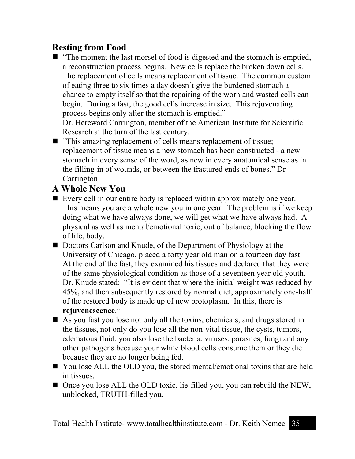## **Resting from Food**

 $\blacksquare$  "The moment the last morsel of food is digested and the stomach is emptied, a reconstruction process begins. New cells replace the broken down cells. The replacement of cells means replacement of tissue. The common custom of eating three to six times a day doesn't give the burdened stomach a chance to empty itself so that the repairing of the worn and wasted cells can begin. During a fast, the good cells increase in size. This rejuvenating process begins only after the stomach is emptied."

Dr. Hereward Carrington, member of the American Institute for Scientific Research at the turn of the last century.

 $\blacksquare$  "This amazing replacement of cells means replacement of tissue; replacement of tissue means a new stomach has been constructed - a new stomach in every sense of the word, as new in every anatomical sense as in the filling-in of wounds, or between the fractured ends of bones." Dr **Carrington** 

## **A Whole New You**

- $\blacksquare$  Every cell in our entire body is replaced within approximately one year. This means you are a whole new you in one year. The problem is if we keep doing what we have always done, we will get what we have always had. A physical as well as mental/emotional toxic, out of balance, blocking the flow of life, body.
- Doctors Carlson and Knude, of the Department of Physiology at the University of Chicago, placed a forty year old man on a fourteen day fast. At the end of the fast, they examined his tissues and declared that they were of the same physiological condition as those of a seventeen year old youth. Dr. Knude stated: "It is evident that where the initial weight was reduced by 45%, and then subsequently restored by normal diet, approximately one-half of the restored body is made up of new protoplasm. In this, there is **rejuvenescence**."
- $\blacksquare$  As you fast you lose not only all the toxins, chemicals, and drugs stored in the tissues, not only do you lose all the non-vital tissue, the cysts, tumors, edematous fluid, you also lose the bacteria, viruses, parasites, fungi and any other pathogens because your white blood cells consume them or they die because they are no longer being fed.
- You lose ALL the OLD you, the stored mental/emotional toxins that are held in tissues.
- $\blacksquare$  Once you lose ALL the OLD toxic, lie-filled you, you can rebuild the NEW, unblocked, TRUTH-filled you.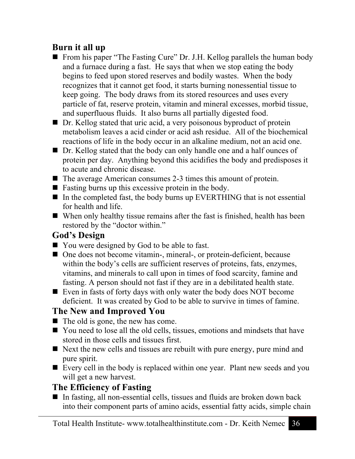## **Burn it all up**

- From his paper "The Fasting Cure" Dr. J.H. Kellog parallels the human body and a furnace during a fast. He says that when we stop eating the body begins to feed upon stored reserves and bodily wastes. When the body recognizes that it cannot get food, it starts burning nonessential tissue to keep going. The body draws from its stored resources and uses every particle of fat, reserve protein, vitamin and mineral excesses, morbid tissue, and superfluous fluids. It also burns all partially digested food.
- $\blacksquare$  Dr. Kellog stated that uric acid, a very poisonous byproduct of protein metabolism leaves a acid cinder or acid ash residue. All of the biochemical reactions of life in the body occur in an alkaline medium, not an acid one.
- n Dr. Kellog stated that the body can only handle one and a half ounces of protein per day. Anything beyond this acidifies the body and predisposes it to acute and chronic disease.
- $\blacksquare$  The average American consumes 2-3 times this amount of protein.
- $\blacksquare$  Fasting burns up this excessive protein in the body.
- $\blacksquare$  In the completed fast, the body burns up EVERTHING that is not essential for health and life.
- $\blacksquare$  When only healthy tissue remains after the fast is finished, health has been restored by the "doctor within."

## **God's Design**

- You were designed by God to be able to fast.
- One does not become vitamin-, mineral-, or protein-deficient, because within the body's cells are sufficient reserves of proteins, fats, enzymes, vitamins, and minerals to call upon in times of food scarcity, famine and fasting. A person should not fast if they are in a debilitated health state.
- $\blacksquare$  Even in fasts of forty days with only water the body does NOT become deficient. It was created by God to be able to survive in times of famine.

## **The New and Improved You**

- $\blacksquare$  The old is gone, the new has come.
- You need to lose all the old cells, tissues, emotions and mindsets that have stored in those cells and tissues first.
- n Next the new cells and tissues are rebuilt with pure energy, pure mind and pure spirit.
- $\blacksquare$  Every cell in the body is replaced within one year. Plant new seeds and you will get a new harvest.

## **The Efficiency of Fasting**

 $\blacksquare$  In fasting, all non-essential cells, tissues and fluids are broken down back into their component parts of amino acids, essential fatty acids, simple chain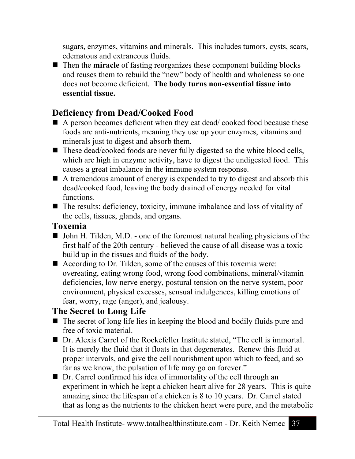sugars, enzymes, vitamins and minerals. This includes tumors, cysts, scars, edematous and extraneous fluids.

■ Then the **miracle** of fasting reorganizes these component building blocks and reuses them to rebuild the "new" body of health and wholeness so one does not become deficient. **The body turns non-essential tissue into essential tissue.**

## **Deficiency from Dead/Cooked Food**

- $\blacksquare$  A person becomes deficient when they eat dead/ cooked food because these foods are anti-nutrients, meaning they use up your enzymes, vitamins and minerals just to digest and absorb them.
- $\blacksquare$  These dead/cooked foods are never fully digested so the white blood cells, which are high in enzyme activity, have to digest the undigested food. This causes a great imbalance in the immune system response.
- $\blacksquare$  A tremendous amount of energy is expended to try to digest and absorb this dead/cooked food, leaving the body drained of energy needed for vital functions.
- $\blacksquare$  The results: deficiency, toxicity, immune imbalance and loss of vitality of the cells, tissues, glands, and organs.

#### **Toxemia**

- $\blacksquare$  John H. Tilden, M.D. one of the foremost natural healing physicians of the first half of the 20th century - believed the cause of all disease was a toxic build up in the tissues and fluids of the body.
- $\blacksquare$  According to Dr. Tilden, some of the causes of this toxemia were: overeating, eating wrong food, wrong food combinations, mineral/vitamin deficiencies, low nerve energy, postural tension on the nerve system, poor environment, physical excesses, sensual indulgences, killing emotions of fear, worry, rage (anger), and jealousy.

#### **The Secret to Long Life**

- $\blacksquare$  The secret of long life lies in keeping the blood and bodily fluids pure and free of toxic material.
- Dr. Alexis Carrel of the Rockefeller Institute stated, "The cell is immortal. It is merely the fluid that it floats in that degenerates. Renew this fluid at proper intervals, and give the cell nourishment upon which to feed, and so far as we know, the pulsation of life may go on forever."
- $\blacksquare$  Dr. Carrel confirmed his idea of immortality of the cell through an experiment in which he kept a chicken heart alive for 28 years. This is quite amazing since the lifespan of a chicken is 8 to 10 years. Dr. Carrel stated that as long as the nutrients to the chicken heart were pure, and the metabolic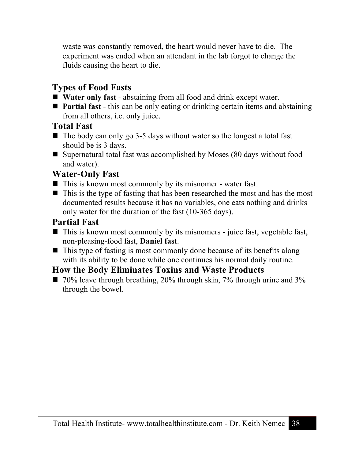waste was constantly removed, the heart would never have to die. The experiment was ended when an attendant in the lab forgot to change the fluids causing the heart to die.

#### **Types of Food Fasts**

- **Water only fast** abstaining from all food and drink except water.
- **n Partial fast** this can be only eating or drinking certain items and abstaining from all others, i.e. only juice.

#### **Total Fast**

- $\blacksquare$  The body can only go 3-5 days without water so the longest a total fast should be is 3 days.
- $\blacksquare$  Supernatural total fast was accomplished by Moses (80 days without food and water).

#### **Water-Only Fast**

- $\blacksquare$  This is known most commonly by its misnomer water fast.
- $\blacksquare$  This is the type of fasting that has been researched the most and has the most documented results because it has no variables, one eats nothing and drinks only water for the duration of the fast (10-365 days).

#### **Partial Fast**

- $\blacksquare$  This is known most commonly by its misnomers juice fast, vegetable fast, non-pleasing-food fast, **Daniel fast**.
- $\blacksquare$  This type of fasting is most commonly done because of its benefits along with its ability to be done while one continues his normal daily routine.

#### **How the Body Eliminates Toxins and Waste Products**

 $\blacksquare$  70% leave through breathing, 20% through skin, 7% through urine and 3% through the bowel.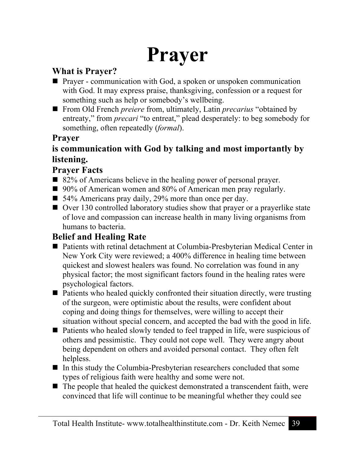# **Prayer**

## **What is Prayer?**

- **n** Prayer communication with God, a spoken or unspoken communication with God. It may express praise, thanksgiving, confession or a request for something such as help or somebody's wellbeing.
- From Old French *preiere* from, ultimately, Latin *precarius* "obtained by entreaty," from *precari* "to entreat," plead desperately: to beg somebody for something, often repeatedly (*formal*).

#### **Prayer**

#### **is communication with God by talking and most importantly by listening.**

## **Prayer Facts**

- $\blacksquare$  82% of Americans believe in the healing power of personal prayer.
- $\Box$  90% of American women and 80% of American men pray regularly.
- $\blacksquare$  54% Americans pray daily, 29% more than once per day.
- $\blacksquare$  Over 130 controlled laboratory studies show that prayer or a prayerlike state of love and compassion can increase health in many living organisms from humans to bacteria.

## **Belief and Healing Rate**

- Patients with retinal detachment at Columbia-Presbyterian Medical Center in New York City were reviewed; a 400% difference in healing time between quickest and slowest healers was found. No correlation was found in any physical factor; the most significant factors found in the healing rates were psychological factors.
- $\blacksquare$  Patients who healed quickly confronted their situation directly, were trusting of the surgeon, were optimistic about the results, were confident about coping and doing things for themselves, were willing to accept their situation without special concern, and accepted the bad with the good in life.
- $\blacksquare$  Patients who healed slowly tended to feel trapped in life, were suspicious of others and pessimistic. They could not cope well. They were angry about being dependent on others and avoided personal contact. They often felt helpless.
- In this study the Columbia-Presbyterian researchers concluded that some types of religious faith were healthy and some were not.
- $\blacksquare$  The people that healed the quickest demonstrated a transcendent faith, were convinced that life will continue to be meaningful whether they could see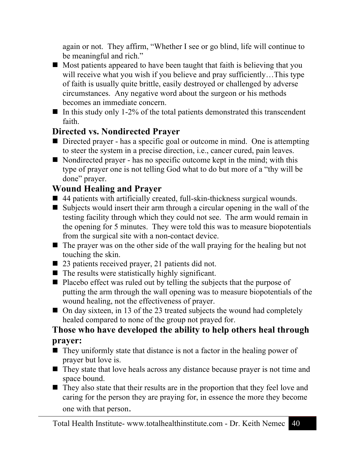again or not. They affirm, "Whether I see or go blind, life will continue to be meaningful and rich."

- $\blacksquare$  Most patients appeared to have been taught that faith is believing that you will receive what you wish if you believe and pray sufficiently... This type of faith is usually quite brittle, easily destroyed or challenged by adverse circumstances. Any negative word about the surgeon or his methods becomes an immediate concern.
- In this study only 1-2% of the total patients demonstrated this transcendent faith.

#### **Directed vs. Nondirected Prayer**

- $\blacksquare$  Directed prayer has a specific goal or outcome in mind. One is attempting to steer the system in a precise direction, i.e., cancer cured, pain leaves.
- $\blacksquare$  Nondirected prayer has no specific outcome kept in the mind; with this type of prayer one is not telling God what to do but more of a "thy will be done" prayer.

## **Wound Healing and Prayer**

- $\blacksquare$  44 patients with artificially created, full-skin-thickness surgical wounds.
- $\blacksquare$  Subjects would insert their arm through a circular opening in the wall of the testing facility through which they could not see. The arm would remain in the opening for 5 minutes. They were told this was to measure biopotentials from the surgical site with a non-contact device.
- $\blacksquare$  The prayer was on the other side of the wall praying for the healing but not touching the skin.
- 23 patients received prayer, 21 patients did not.
- $\blacksquare$  The results were statistically highly significant.
- $\blacksquare$  Placebo effect was ruled out by telling the subjects that the purpose of putting the arm through the wall opening was to measure biopotentials of the wound healing, not the effectiveness of prayer.
- $\Box$  On day sixteen, in 13 of the 23 treated subjects the wound had completely healed compared to none of the group not prayed for.

#### **Those who have developed the ability to help others heal through prayer:**

- $\blacksquare$  They uniformly state that distance is not a factor in the healing power of prayer but love is.
- $\blacksquare$  They state that love heals across any distance because prayer is not time and space bound.
- $\blacksquare$  They also state that their results are in the proportion that they feel love and caring for the person they are praying for, in essence the more they become one with that person.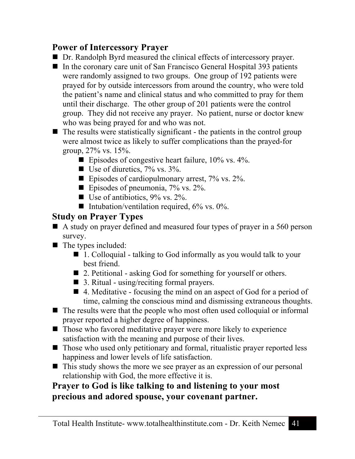### **Power of Intercessory Prayer**

- Dr. Randolph Byrd measured the clinical effects of intercessory prayer.
- $\blacksquare$  In the coronary care unit of San Francisco General Hospital 393 patients were randomly assigned to two groups. One group of 192 patients were prayed for by outside intercessors from around the country, who were told the patient's name and clinical status and who committed to pray for them until their discharge. The other group of 201 patients were the control group. They did not receive any prayer. No patient, nurse or doctor knew who was being prayed for and who was not.
- $\blacksquare$  The results were statistically significant the patients in the control group were almost twice as likely to suffer complications than the prayed-for group, 27% vs. 15%.
	- $\blacksquare$  Episodes of congestive heart failure, 10% vs. 4%.
	- $\blacksquare$  Use of diuretics, 7% vs. 3%.
	- **Exercise** Episodes of cardiopulmonary arrest,  $7\%$  vs.  $2\%$ .
	- **n** Episodes of pneumonia,  $7\%$  vs.  $2\%$ .
	- **u** Use of antibiotics,  $9\%$  vs.  $2\%$ .
	- Intubation/ventilation required,  $6\%$  vs.  $0\%$ .

## **Study on Prayer Types**

- $\blacksquare$  A study on prayer defined and measured four types of prayer in a 560 person survey.
- $\blacksquare$  The types included:
	- $\blacksquare$  1. Colloquial talking to God informally as you would talk to your best friend.
	- 2. Petitional asking God for something for yourself or others.
	- $\blacksquare$  3. Ritual using/reciting formal prayers.
	- $\blacksquare$  4. Meditative focusing the mind on an aspect of God for a period of time, calming the conscious mind and dismissing extraneous thoughts.
- $\blacksquare$  The results were that the people who most often used colloquial or informal prayer reported a higher degree of happiness.
- $\blacksquare$  Those who favored meditative prayer were more likely to experience satisfaction with the meaning and purpose of their lives.
- $\blacksquare$  Those who used only petitionary and formal, ritualistic prayer reported less happiness and lower levels of life satisfaction.
- $\blacksquare$  This study shows the more we see prayer as an expression of our personal relationship with God, the more effective it is.

#### **Prayer to God is like talking to and listening to your most precious and adored spouse, your covenant partner.**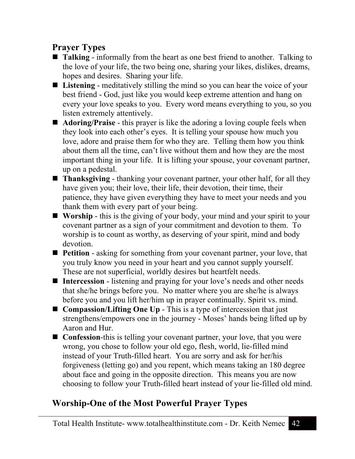## **Prayer Types**

- **Talking** informally from the heart as one best friend to another. Talking to the love of your life, the two being one, sharing your likes, dislikes, dreams, hopes and desires. Sharing your life.
- **Listening** meditatively stilling the mind so you can hear the voice of your best friend - God, just like you would keep extreme attention and hang on every your love speaks to you. Every word means everything to you, so you listen extremely attentively.
- **Adoring/Praise** this prayer is like the adoring a loving couple feels when they look into each other's eyes. It is telling your spouse how much you love, adore and praise them for who they are. Telling them how you think about them all the time, can't live without them and how they are the most important thing in your life. It is lifting your spouse, your covenant partner, up on a pedestal.
- **n Thanksgiving thanking your covenant partner, your other half, for all they** have given you; their love, their life, their devotion, their time, their patience, they have given everything they have to meet your needs and you thank them with every part of your being.
- **Worship** this is the giving of your body, your mind and your spirit to your covenant partner as a sign of your commitment and devotion to them. To worship is to count as worthy, as deserving of your spirit, mind and body devotion.
- **Petition asking for something from your covenant partner, your love, that** you truly know you need in your heart and you cannot supply yourself. These are not superficial, worldly desires but heartfelt needs.
- Intercession listening and praying for your love's needs and other needs that she/he brings before you. No matter where you are she/he is always before you and you lift her/him up in prayer continually. Spirit vs. mind.
- **Compassion/Lifting One Up** This is a type of intercession that just strengthens/empowers one in the journey - Moses' hands being lifted up by Aaron and Hur.
- **Confession**-this is telling your covenant partner, your love, that you were wrong, you chose to follow your old ego, flesh, world, lie-filled mind instead of your Truth-filled heart. You are sorry and ask for her/his forgiveness (letting go) and you repent, which means taking an 180 degree about face and going in the opposite direction. This means you are now choosing to follow your Truth-filled heart instead of your lie-filled old mind.

## **Worship-One of the Most Powerful Prayer Types**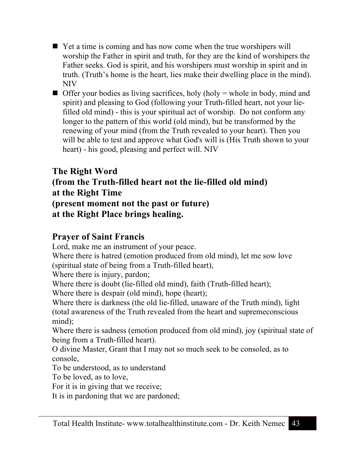- $\blacksquare$  Yet a time is coming and has now come when the true worshipers will worship the Father in spirit and truth, for they are the kind of worshipers the Father seeks. God is spirit, and his worshipers must worship in spirit and in truth. (Truth's home is the heart, lies make their dwelling place in the mind). NIV
- $\blacksquare$  Offer your bodies as living sacrifices, holy (holy = whole in body, mind and spirit) and pleasing to God (following your Truth-filled heart, not your liefilled old mind) - this is your spiritual act of worship. Do not conform any longer to the pattern of this world (old mind), but be transformed by the renewing of your mind (from the Truth revealed to your heart). Then you will be able to test and approve what God's will is (His Truth shown to your heart) - his good, pleasing and perfect will. NIV

### **The Right Word**

## **(from the Truth-filled heart not the lie-filled old mind) at the Right Time**

**(present moment not the past or future) at the Right Place brings healing.**

#### **Prayer of Saint Francis**

Lord, make me an instrument of your peace.

Where there is hatred (emotion produced from old mind), let me sow love (spiritual state of being from a Truth-filled heart),

Where there is injury, pardon;

Where there is doubt (lie-filled old mind), faith (Truth-filled heart);

Where there is despair (old mind), hope (heart);

Where there is darkness (the old lie-filled, unaware of the Truth mind), light (total awareness of the Truth revealed from the heart and supremeconscious mind);

Where there is sadness (emotion produced from old mind), joy (spiritual state of being from a Truth-filled heart).

O divine Master, Grant that I may not so much seek to be consoled, as to console,

To be understood, as to understand

To be loved, as to love,

For it is in giving that we receive;

It is in pardoning that we are pardoned;